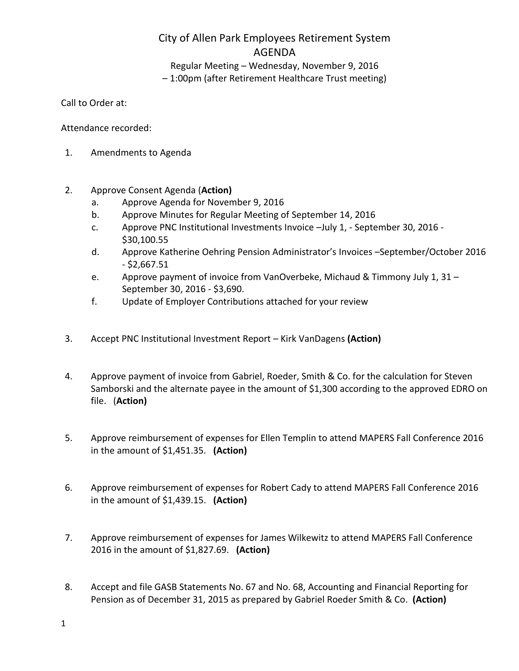## City of Allen Park Employees Retirement System AGENDA

Regular Meeting – Wednesday, November 9, 2016 – 1:00pm (after Retirement Healthcare Trust meeting)

Call to Order at:

Attendance recorded:

- 1. Amendments to Agenda
- 2. Approve Consent Agenda (**Action)**
	- a. Approve Agenda for November 9, 2016
	- b. Approve Minutes for Regular Meeting of September 14, 2016
	- c. Approve PNC Institutional Investments Invoice –July 1, September 30, 2016 \$30,100.55
	- d. Approve Katherine Oehring Pension Administrator's Invoices –September/October 2016 - \$2,667.51
	- e. Approve payment of invoice from VanOverbeke, Michaud & Timmony July 1, 31 September 30, 2016 - \$3,690.
	- f. Update of Employer Contributions attached for your review
- 3. Accept PNC Institutional Investment Report Kirk VanDagens **(Action)**
- 4. Approve payment of invoice from Gabriel, Roeder, Smith & Co. for the calculation for Steven Samborski and the alternate payee in the amount of \$1,300 according to the approved EDRO on file. (**Action)**
- 5. Approve reimbursement of expenses for Ellen Templin to attend MAPERS Fall Conference 2016 in the amount of \$1,451.35. **(Action)**
- 6. Approve reimbursement of expenses for Robert Cady to attend MAPERS Fall Conference 2016 in the amount of \$1,439.15. **(Action)**
- 7. Approve reimbursement of expenses for James Wilkewitz to attend MAPERS Fall Conference 2016 in the amount of \$1,827.69. **(Action)**
- 8. Accept and file GASB Statements No. 67 and No. 68, Accounting and Financial Reporting for Pension as of December 31, 2015 as prepared by Gabriel Roeder Smith & Co. **(Action)**